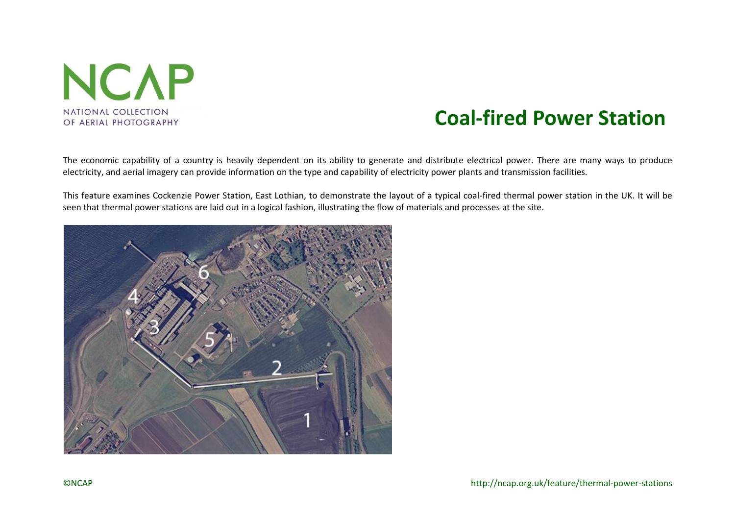

# **Coal-fired Power Station**

The economic capability of a country is heavily dependent on its ability to generate and distribute electrical power. There are many ways to produce electricity, and aerial imagery can provide information on the type and capability of electricity power plants and transmission facilities.

This feature examines Cockenzie Power Station, East Lothian, to demonstrate the layout of a typical coal-fired thermal power station in the UK. It will be seen that thermal power stations are laid out in a logical fashion, illustrating the flow of materials and processes at the site.

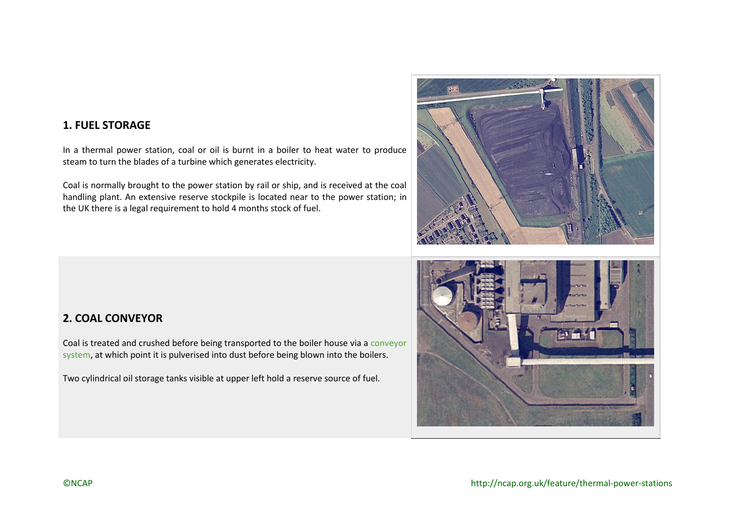## **1. FUEL STORAGE**

In a thermal power station, coal or oil is burnt in a boiler to heat water to produce steam to turn the blades of a turbine which generates electricity.

Coal is normally brought to the power station by rail or ship, and is received at the coal handling plant. An extensive reserve stockpile is located near to the power station; in the UK there is a legal requirement to hold 4 months stock of fuel.

## **2. COAL CONVEYOR**

Coal is treated and crushed before being transported to the boiler house via a [conveyor](http://canmore.rcahms.gov.uk/en/details/1336222/) [system,](http://canmore.rcahms.gov.uk/en/details/1336222/) at which point it is pulverised into dust before being blown into the boilers.

Two cylindrical oil storage tanks visible at upper left hold a reserve source of fuel.



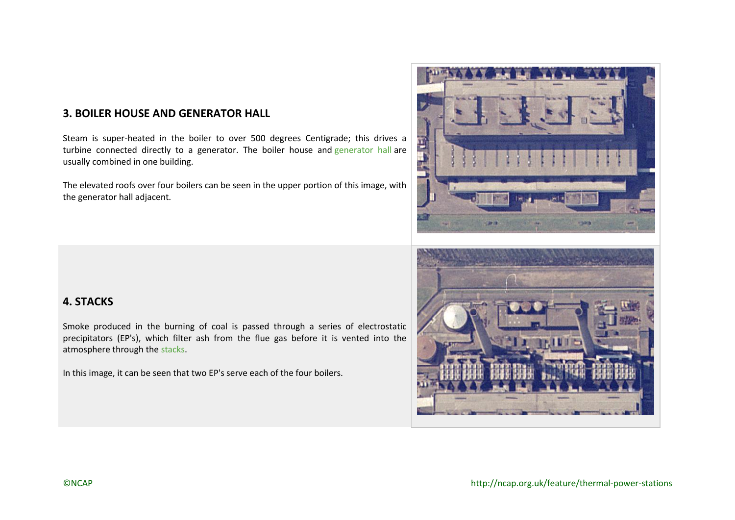## **3. BOILER HOUSE AND GENERATOR HALL**

Steam is super-heated in the boiler to over 500 degrees Centigrade; this drives a turbine connected directly to a [generator](http://canmore.rcahms.gov.uk/en/details/1336124/). The boiler house and generator hall are usually combined in one building.

The elevated roofs over four boilers can be seen in the upper portion of this image, with the generator hall adjacent.

#### **4. STACKS**

Smoke produced in the burning of coal is passed through a series of electrostatic precipitators (EP's), which filter ash from the flue gas before it is vented into the atmosphere through the [stacks.](http://canmore.rcahms.gov.uk/en/details/1336129/)

In this image, it can be seen that two EP's serve each of the four boilers.



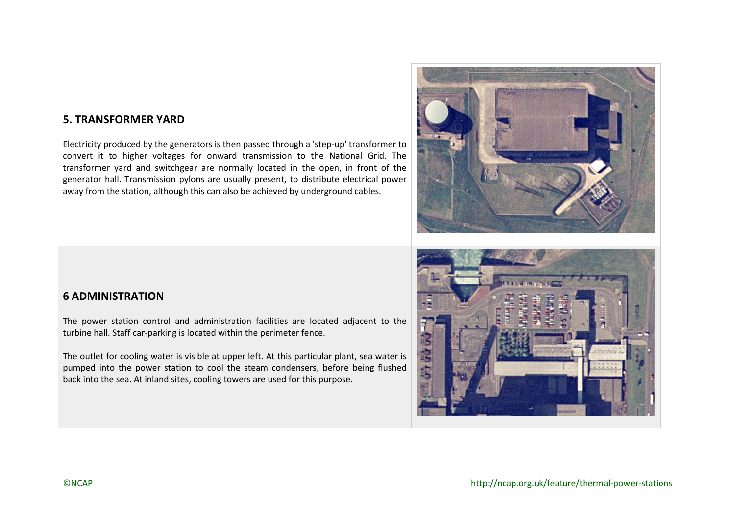#### **5. TRANSFORMER YARD**

Electricity produced by the generators is then passed through a 'step-up' transformer to convert it to higher voltages for onward transmission to the National Grid. The transformer yard and switchgear are normally located in the open, in front of the generator hall. Transmission pylons are usually present, to distribute electrical power away from the station, although this can also be achieved by underground cables.



### **6 ADMINISTRATION**

The power station control and administration facilities are located adjacent to the turbine hall. Staff car-parking is located within the perimeter fence.

The outlet for cooling water is visible at upper left. At this particular plant, sea water is pumped into the power station to cool the steam condensers, before being flushed back into the sea. At inland sites, cooling towers are used for this purpose.